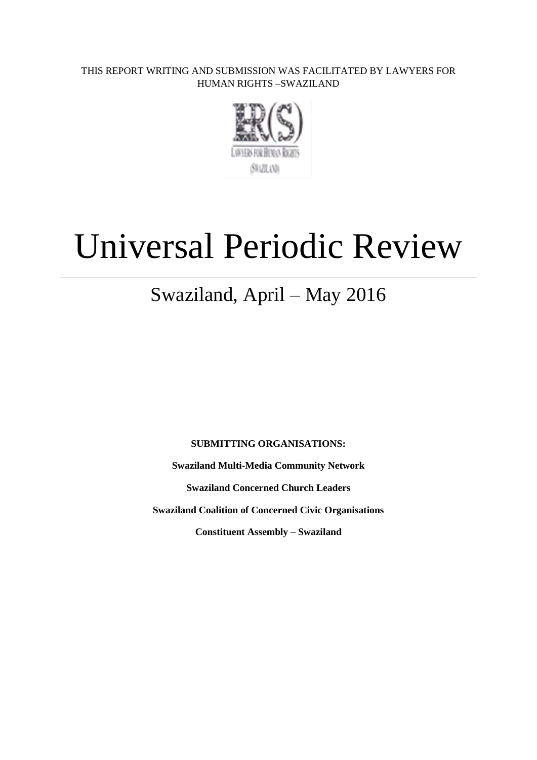THIS REPORT WRITING AND SUBMISSION WAS FACILITATED BY LAWYERS FOR HUMAN RIGHTS –SWAZILAND



# Universal Periodic Review

# Swaziland, April – May 2016

**SUBMITTING ORGANISATIONS:** 

**Swaziland Multi-Media Community Network**

**Swaziland Concerned Church Leaders**

**Swaziland Coalition of Concerned Civic Organisations**

**Constituent Assembly – Swaziland**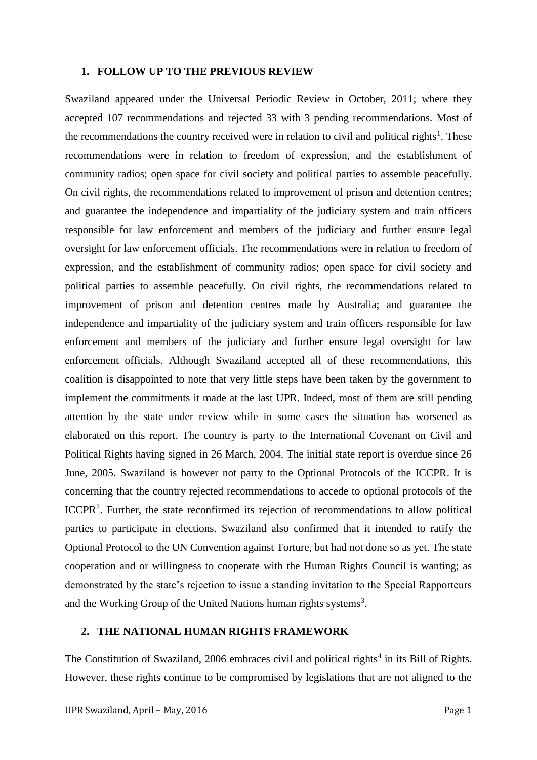#### **1. FOLLOW UP TO THE PREVIOUS REVIEW**

Swaziland appeared under the Universal Periodic Review in October, 2011; where they accepted 107 recommendations and rejected 33 with 3 pending recommendations. Most of the recommendations the country received were in relation to civil and political rights<sup>1</sup>. These recommendations were in relation to freedom of expression, and the establishment of community radios; open space for civil society and political parties to assemble peacefully. On civil rights, the recommendations related to improvement of prison and detention centres; and guarantee the independence and impartiality of the judiciary system and train officers responsible for law enforcement and members of the judiciary and further ensure legal oversight for law enforcement officials. The recommendations were in relation to freedom of expression, and the establishment of community radios; open space for civil society and political parties to assemble peacefully. On civil rights, the recommendations related to improvement of prison and detention centres made by Australia; and guarantee the independence and impartiality of the judiciary system and train officers responsible for law enforcement and members of the judiciary and further ensure legal oversight for law enforcement officials. Although Swaziland accepted all of these recommendations, this coalition is disappointed to note that very little steps have been taken by the government to implement the commitments it made at the last UPR. Indeed, most of them are still pending attention by the state under review while in some cases the situation has worsened as elaborated on this report. The country is party to the International Covenant on Civil and Political Rights having signed in 26 March, 2004. The initial state report is overdue since 26 June, 2005. Swaziland is however not party to the Optional Protocols of the ICCPR. It is concerning that the country rejected recommendations to accede to optional protocols of the ICCPR<sup>2</sup>. Further, the state reconfirmed its rejection of recommendations to allow political parties to participate in elections. Swaziland also confirmed that it intended to ratify the Optional Protocol to the UN Convention against Torture, but had not done so as yet. The state cooperation and or willingness to cooperate with the Human Rights Council is wanting; as demonstrated by the state's rejection to issue a standing invitation to the Special Rapporteurs and the Working Group of the United Nations human rights systems<sup>3</sup>.

# **2. THE NATIONAL HUMAN RIGHTS FRAMEWORK**

The Constitution of Swaziland, 2006 embraces civil and political rights<sup>4</sup> in its Bill of Rights. However, these rights continue to be compromised by legislations that are not aligned to the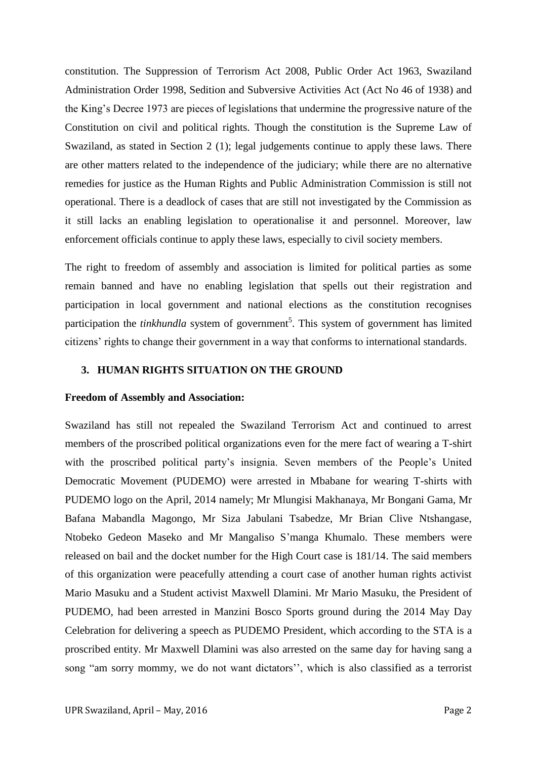constitution. The Suppression of Terrorism Act 2008, Public Order Act 1963, Swaziland Administration Order 1998, Sedition and Subversive Activities Act (Act No 46 of 1938) and the King's Decree 1973 are pieces of legislations that undermine the progressive nature of the Constitution on civil and political rights. Though the constitution is the Supreme Law of Swaziland, as stated in Section 2 (1); legal judgements continue to apply these laws. There are other matters related to the independence of the judiciary; while there are no alternative remedies for justice as the Human Rights and Public Administration Commission is still not operational. There is a deadlock of cases that are still not investigated by the Commission as it still lacks an enabling legislation to operationalise it and personnel. Moreover, law enforcement officials continue to apply these laws, especially to civil society members.

The right to freedom of assembly and association is limited for political parties as some remain banned and have no enabling legislation that spells out their registration and participation in local government and national elections as the constitution recognises participation the *tinkhundla* system of government<sup>5</sup>. This system of government has limited citizens' rights to change their government in a way that conforms to international standards.

# **3. HUMAN RIGHTS SITUATION ON THE GROUND**

#### **Freedom of Assembly and Association:**

Swaziland has still not repealed the Swaziland Terrorism Act and continued to arrest members of the proscribed political organizations even for the mere fact of wearing a T-shirt with the proscribed political party's insignia. Seven members of the People's United Democratic Movement (PUDEMO) were arrested in Mbabane for wearing T-shirts with PUDEMO logo on the April, 2014 namely; Mr Mlungisi Makhanaya, Mr Bongani Gama, Mr Bafana Mabandla Magongo, Mr Siza Jabulani Tsabedze, Mr Brian Clive Ntshangase, Ntobeko Gedeon Maseko and Mr Mangaliso S'manga Khumalo. These members were released on bail and the docket number for the High Court case is 181/14. The said members of this organization were peacefully attending a court case of another human rights activist Mario Masuku and a Student activist Maxwell Dlamini. Mr Mario Masuku, the President of PUDEMO, had been arrested in Manzini Bosco Sports ground during the 2014 May Day Celebration for delivering a speech as PUDEMO President, which according to the STA is a proscribed entity. Mr Maxwell Dlamini was also arrested on the same day for having sang a song "am sorry mommy, we do not want dictators'', which is also classified as a terrorist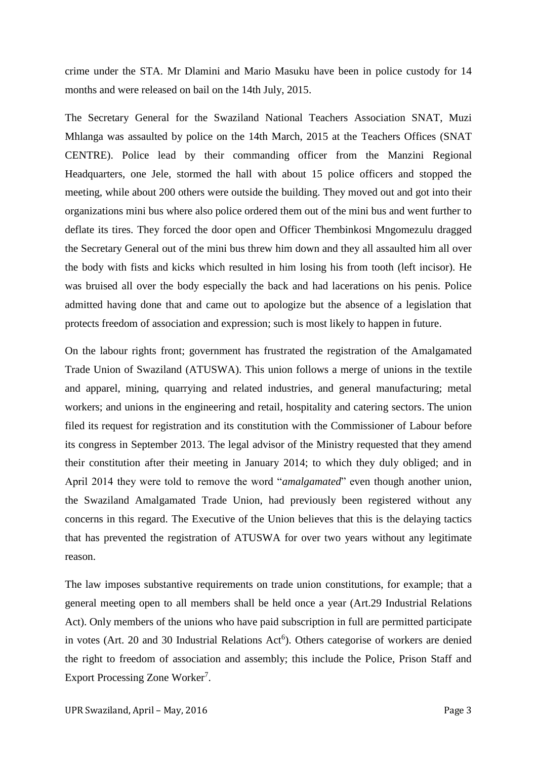crime under the STA. Mr Dlamini and Mario Masuku have been in police custody for 14 months and were released on bail on the 14th July, 2015.

The Secretary General for the Swaziland National Teachers Association SNAT, Muzi Mhlanga was assaulted by police on the 14th March, 2015 at the Teachers Offices (SNAT CENTRE). Police lead by their commanding officer from the Manzini Regional Headquarters, one Jele, stormed the hall with about 15 police officers and stopped the meeting, while about 200 others were outside the building. They moved out and got into their organizations mini bus where also police ordered them out of the mini bus and went further to deflate its tires. They forced the door open and Officer Thembinkosi Mngomezulu dragged the Secretary General out of the mini bus threw him down and they all assaulted him all over the body with fists and kicks which resulted in him losing his from tooth (left incisor). He was bruised all over the body especially the back and had lacerations on his penis. Police admitted having done that and came out to apologize but the absence of a legislation that protects freedom of association and expression; such is most likely to happen in future.

On the labour rights front; government has frustrated the registration of the Amalgamated Trade Union of Swaziland (ATUSWA). This union follows a merge of unions in the textile and apparel, mining, quarrying and related industries, and general manufacturing; metal workers; and unions in the engineering and retail, hospitality and catering sectors. The union filed its request for registration and its constitution with the Commissioner of Labour before its congress in September 2013. The legal advisor of the Ministry requested that they amend their constitution after their meeting in January 2014; to which they duly obliged; and in April 2014 they were told to remove the word "*amalgamated*" even though another union, the Swaziland Amalgamated Trade Union, had previously been registered without any concerns in this regard. The Executive of the Union believes that this is the delaying tactics that has prevented the registration of ATUSWA for over two years without any legitimate reason.

The law imposes substantive requirements on trade union constitutions, for example; that a general meeting open to all members shall be held once a year (Art.29 Industrial Relations Act). Only members of the unions who have paid subscription in full are permitted participate in votes (Art. 20 and 30 Industrial Relations Act<sup>6</sup>). Others categorise of workers are denied the right to freedom of association and assembly; this include the Police, Prison Staff and Export Processing Zone Worker<sup>7</sup>.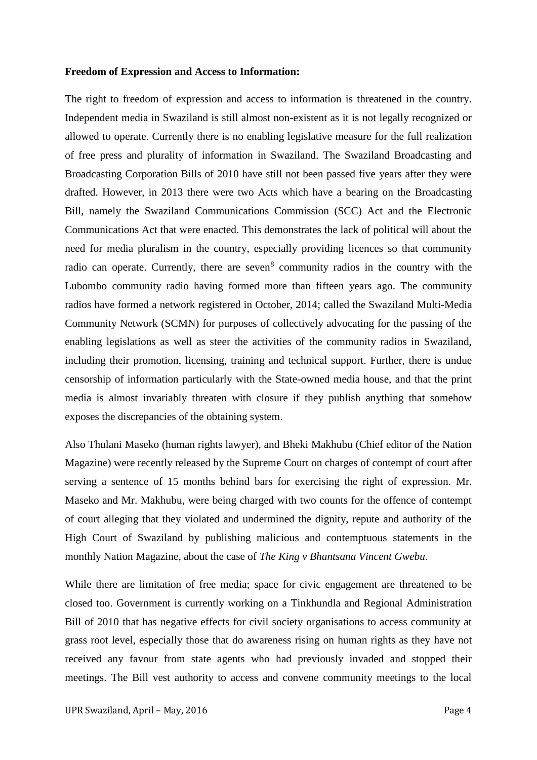#### **Freedom of Expression and Access to Information:**

The right to freedom of expression and access to information is threatened in the country. Independent media in Swaziland is still almost non-existent as it is not legally recognized or allowed to operate. Currently there is no enabling legislative measure for the full realization of free press and plurality of information in Swaziland. The Swaziland Broadcasting and Broadcasting Corporation Bills of 2010 have still not been passed five years after they were drafted. However, in 2013 there were two Acts which have a bearing on the Broadcasting Bill, namely the Swaziland Communications Commission (SCC) Act and the Electronic Communications Act that were enacted. This demonstrates the lack of political will about the need for media pluralism in the country, especially providing licences so that community radio can operate. Currently, there are seven<sup>8</sup> community radios in the country with the Lubombo community radio having formed more than fifteen years ago. The community radios have formed a network registered in October, 2014; called the Swaziland Multi-Media Community Network (SCMN) for purposes of collectively advocating for the passing of the enabling legislations as well as steer the activities of the community radios in Swaziland, including their promotion, licensing, training and technical support. Further, there is undue censorship of information particularly with the State-owned media house, and that the print media is almost invariably threaten with closure if they publish anything that somehow exposes the discrepancies of the obtaining system.

Also Thulani Maseko (human rights lawyer), and Bheki Makhubu (Chief editor of the Nation Magazine) were recently released by the Supreme Court on charges of contempt of court after serving a sentence of 15 months behind bars for exercising the right of expression. Mr. Maseko and Mr. Makhubu, were being charged with two counts for the offence of contempt of court alleging that they violated and undermined the dignity, repute and authority of the High Court of Swaziland by publishing malicious and contemptuous statements in the monthly Nation Magazine, about the case of *The King v Bhantsana Vincent Gwebu*.

While there are limitation of free media; space for civic engagement are threatened to be closed too. Government is currently working on a Tinkhundla and Regional Administration Bill of 2010 that has negative effects for civil society organisations to access community at grass root level, especially those that do awareness rising on human rights as they have not received any favour from state agents who had previously invaded and stopped their meetings. The Bill vest authority to access and convene community meetings to the local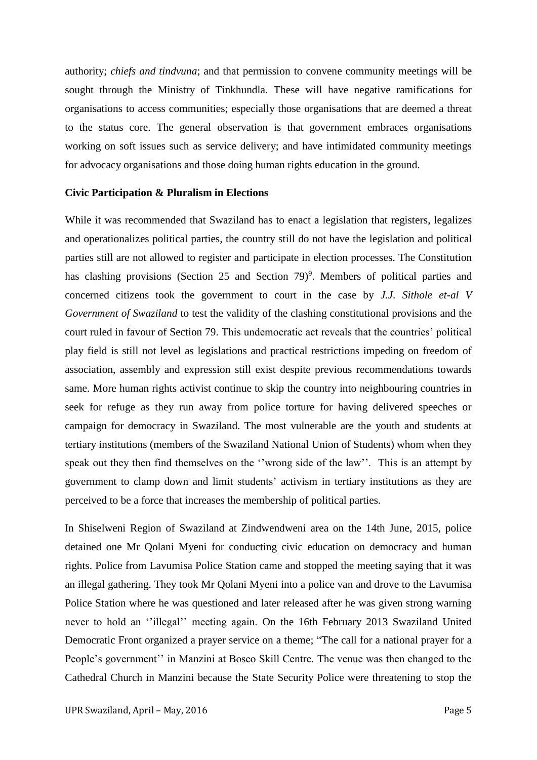authority; *chiefs and tindvuna*; and that permission to convene community meetings will be sought through the Ministry of Tinkhundla. These will have negative ramifications for organisations to access communities; especially those organisations that are deemed a threat to the status core. The general observation is that government embraces organisations working on soft issues such as service delivery; and have intimidated community meetings for advocacy organisations and those doing human rights education in the ground.

#### **Civic Participation & Pluralism in Elections**

While it was recommended that Swaziland has to enact a legislation that registers, legalizes and operationalizes political parties, the country still do not have the legislation and political parties still are not allowed to register and participate in election processes. The Constitution has clashing provisions (Section 25 and Section 79)<sup>9</sup>. Members of political parties and concerned citizens took the government to court in the case by *J.J. Sithole et-al V Government of Swaziland* to test the validity of the clashing constitutional provisions and the court ruled in favour of Section 79. This undemocratic act reveals that the countries' political play field is still not level as legislations and practical restrictions impeding on freedom of association, assembly and expression still exist despite previous recommendations towards same. More human rights activist continue to skip the country into neighbouring countries in seek for refuge as they run away from police torture for having delivered speeches or campaign for democracy in Swaziland. The most vulnerable are the youth and students at tertiary institutions (members of the Swaziland National Union of Students) whom when they speak out they then find themselves on the "wrong side of the law". This is an attempt by government to clamp down and limit students' activism in tertiary institutions as they are perceived to be a force that increases the membership of political parties.

In Shiselweni Region of Swaziland at Zindwendweni area on the 14th June, 2015, police detained one Mr Qolani Myeni for conducting civic education on democracy and human rights. Police from Lavumisa Police Station came and stopped the meeting saying that it was an illegal gathering. They took Mr Qolani Myeni into a police van and drove to the Lavumisa Police Station where he was questioned and later released after he was given strong warning never to hold an ''illegal'' meeting again. On the 16th February 2013 Swaziland United Democratic Front organized a prayer service on a theme; "The call for a national prayer for a People's government'' in Manzini at Bosco Skill Centre. The venue was then changed to the Cathedral Church in Manzini because the State Security Police were threatening to stop the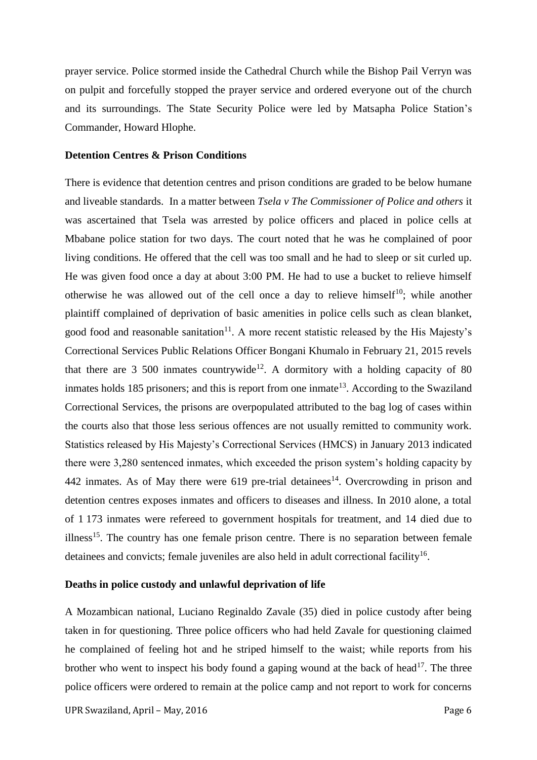prayer service. Police stormed inside the Cathedral Church while the Bishop Pail Verryn was on pulpit and forcefully stopped the prayer service and ordered everyone out of the church and its surroundings. The State Security Police were led by Matsapha Police Station's Commander, Howard Hlophe.

# **Detention Centres & Prison Conditions**

There is evidence that detention centres and prison conditions are graded to be below humane and liveable standards. In a matter between *Tsela v The Commissioner of Police and others* it was ascertained that Tsela was arrested by police officers and placed in police cells at Mbabane police station for two days. The court noted that he was he complained of poor living conditions. He offered that the cell was too small and he had to sleep or sit curled up. He was given food once a day at about 3:00 PM. He had to use a bucket to relieve himself otherwise he was allowed out of the cell once a day to relieve himself<sup>10</sup>; while another plaintiff complained of deprivation of basic amenities in police cells such as clean blanket, good food and reasonable sanitation<sup>11</sup>. A more recent statistic released by the His Majesty's Correctional Services Public Relations Officer Bongani Khumalo in February 21, 2015 revels that there are  $3\,500$  inmates countrywide<sup>12</sup>. A dormitory with a holding capacity of 80 inmates holds  $185$  prisoners; and this is report from one inmate<sup>13</sup>. According to the Swaziland Correctional Services, the prisons are overpopulated attributed to the bag log of cases within the courts also that those less serious offences are not usually remitted to community work. Statistics released by His Majesty's Correctional Services (HMCS) in January 2013 indicated there were 3,280 sentenced inmates, which exceeded the prison system's holding capacity by 442 inmates. As of May there were  $619$  pre-trial detainees<sup>14</sup>. Overcrowding in prison and detention centres exposes inmates and officers to diseases and illness. In 2010 alone, a total of 1 173 inmates were refereed to government hospitals for treatment, and 14 died due to illness<sup>15</sup>. The country has one female prison centre. There is no separation between female detainees and convicts; female juveniles are also held in adult correctional facility<sup>16</sup>.

#### **Deaths in police custody and unlawful deprivation of life**

A Mozambican national, Luciano Reginaldo Zavale (35) died in police custody after being taken in for questioning. Three police officers who had held Zavale for questioning claimed he complained of feeling hot and he striped himself to the waist; while reports from his brother who went to inspect his body found a gaping wound at the back of head<sup>17</sup>. The three police officers were ordered to remain at the police camp and not report to work for concerns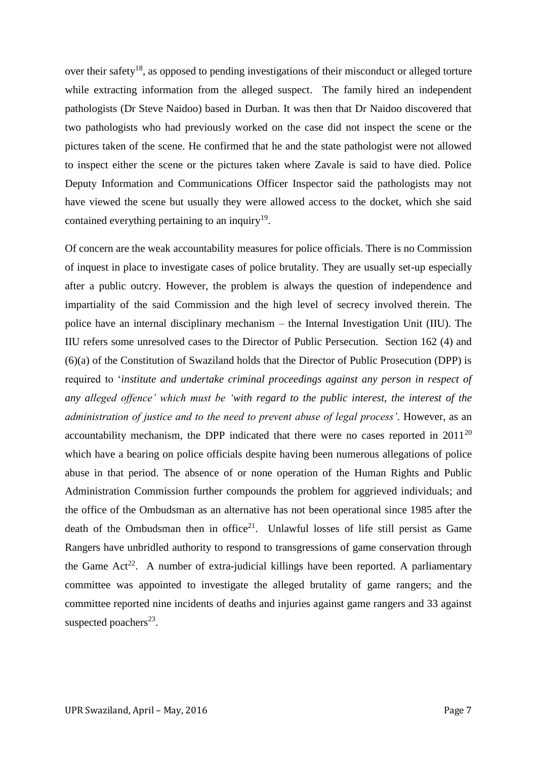over their safety<sup>18</sup>, as opposed to pending investigations of their misconduct or alleged torture while extracting information from the alleged suspect. The family hired an independent pathologists (Dr Steve Naidoo) based in Durban. It was then that Dr Naidoo discovered that two pathologists who had previously worked on the case did not inspect the scene or the pictures taken of the scene. He confirmed that he and the state pathologist were not allowed to inspect either the scene or the pictures taken where Zavale is said to have died. Police Deputy Information and Communications Officer Inspector said the pathologists may not have viewed the scene but usually they were allowed access to the docket, which she said contained everything pertaining to an inquiry<sup>19</sup>.

Of concern are the weak accountability measures for police officials. There is no Commission of inquest in place to investigate cases of police brutality. They are usually set-up especially after a public outcry. However, the problem is always the question of independence and impartiality of the said Commission and the high level of secrecy involved therein. The police have an internal disciplinary mechanism – the Internal Investigation Unit (IIU). The IIU refers some unresolved cases to the Director of Public Persecution. Section 162 (4) and (6)(a) of the Constitution of Swaziland holds that the Director of Public Prosecution (DPP) is required to '*institute and undertake criminal proceedings against any person in respect of any alleged offence' which must be 'with regard to the public interest, the interest of the administration of justice and to the need to prevent abuse of legal process'*. However, as an accountability mechanism, the DPP indicated that there were no cases reported in 2011<sup>20</sup> which have a bearing on police officials despite having been numerous allegations of police abuse in that period. The absence of or none operation of the Human Rights and Public Administration Commission further compounds the problem for aggrieved individuals; and the office of the Ombudsman as an alternative has not been operational since 1985 after the death of the Ombudsman then in office<sup>21</sup>. Unlawful losses of life still persist as Game Rangers have unbridled authority to respond to transgressions of game conservation through the Game  $Act^{22}$ . A number of extra-judicial killings have been reported. A parliamentary committee was appointed to investigate the alleged brutality of game rangers; and the committee reported nine incidents of deaths and injuries against game rangers and 33 against suspected poachers<sup>23</sup>.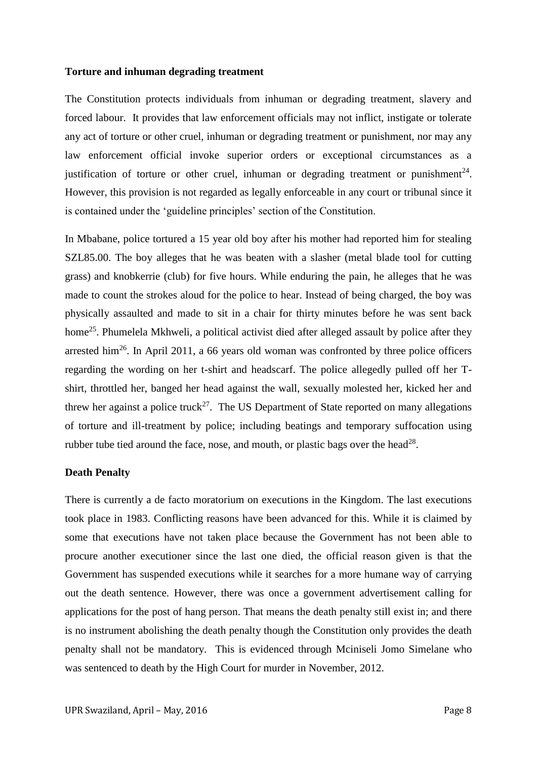#### **Torture and inhuman degrading treatment**

The Constitution protects individuals from inhuman or degrading treatment, slavery and forced labour. It provides that law enforcement officials may not inflict, instigate or tolerate any act of torture or other cruel, inhuman or degrading treatment or punishment, nor may any law enforcement official invoke superior orders or exceptional circumstances as a justification of torture or other cruel, inhuman or degrading treatment or punishment<sup>24</sup>. However, this provision is not regarded as legally enforceable in any court or tribunal since it is contained under the 'guideline principles' section of the Constitution.

In Mbabane, police tortured a 15 year old boy after his mother had reported him for stealing SZL85.00. The boy alleges that he was beaten with a slasher (metal blade tool for cutting grass) and knobkerrie (club) for five hours. While enduring the pain, he alleges that he was made to count the strokes aloud for the police to hear. Instead of being charged, the boy was physically assaulted and made to sit in a chair for thirty minutes before he was sent back home<sup>25</sup>. Phumelela Mkhweli, a political activist died after alleged assault by police after they arrested him<sup>26</sup>. In April 2011, a 66 years old woman was confronted by three police officers regarding the wording on her t-shirt and headscarf. The police allegedly pulled off her Tshirt, throttled her, banged her head against the wall, sexually molested her, kicked her and threw her against a police truck<sup>27</sup>. The US Department of State reported on many allegations of torture and ill-treatment by police; including beatings and temporary suffocation using rubber tube tied around the face, nose, and mouth, or plastic bags over the head<sup>28</sup>.

# **Death Penalty**

There is currently a de facto moratorium on executions in the Kingdom. The last executions took place in 1983. Conflicting reasons have been advanced for this. While it is claimed by some that executions have not taken place because the Government has not been able to procure another executioner since the last one died, the official reason given is that the Government has suspended executions while it searches for a more humane way of carrying out the death sentence. However, there was once a government advertisement calling for applications for the post of hang person. That means the death penalty still exist in; and there is no instrument abolishing the death penalty though the Constitution only provides the death penalty shall not be mandatory. This is evidenced through Mciniseli Jomo Simelane who was sentenced to death by the High Court for murder in November, 2012.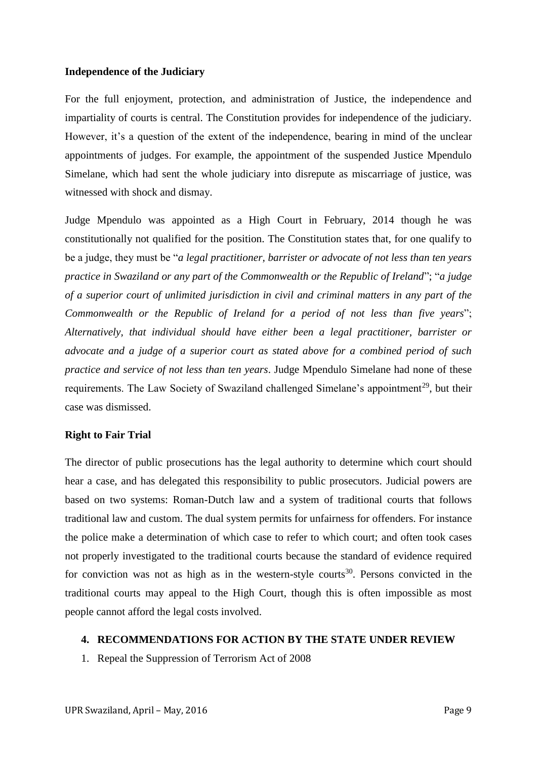## **Independence of the Judiciary**

For the full enjoyment, protection, and administration of Justice, the independence and impartiality of courts is central. The Constitution provides for independence of the judiciary. However, it's a question of the extent of the independence, bearing in mind of the unclear appointments of judges. For example, the appointment of the suspended Justice Mpendulo Simelane, which had sent the whole judiciary into disrepute as miscarriage of justice, was witnessed with shock and dismay.

Judge Mpendulo was appointed as a High Court in February, 2014 though he was constitutionally not qualified for the position. The Constitution states that, for one qualify to be a judge, they must be "*a legal practitioner, barrister or advocate of not less than ten years practice in Swaziland or any part of the Commonwealth or the Republic of Ireland*"; "*a judge of a superior court of unlimited jurisdiction in civil and criminal matters in any part of the Commonwealth or the Republic of Ireland for a period of not less than five years*"; *Alternatively, that individual should have either been a legal practitioner, barrister or advocate and a judge of a superior court as stated above for a combined period of such practice and service of not less than ten years*. Judge Mpendulo Simelane had none of these requirements. The Law Society of Swaziland challenged Simelane's appointment<sup>29</sup>, but their case was dismissed.

# **Right to Fair Trial**

The director of public prosecutions has the legal authority to determine which court should hear a case, and has delegated this responsibility to public prosecutors. Judicial powers are based on two systems: Roman-Dutch law and a system of traditional courts that follows traditional law and custom. The dual system permits for unfairness for offenders. For instance the police make a determination of which case to refer to which court; and often took cases not properly investigated to the traditional courts because the standard of evidence required for conviction was not as high as in the western-style courts<sup>30</sup>. Persons convicted in the traditional courts may appeal to the High Court, though this is often impossible as most people cannot afford the legal costs involved.

#### **4. RECOMMENDATIONS FOR ACTION BY THE STATE UNDER REVIEW**

1. Repeal the Suppression of Terrorism Act of 2008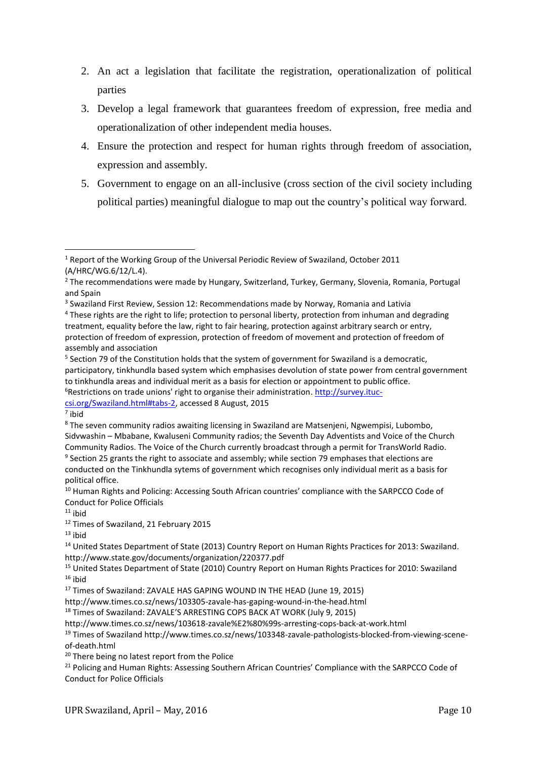- 2. An act a legislation that facilitate the registration, operationalization of political parties
- 3. Develop a legal framework that guarantees freedom of expression, free media and operationalization of other independent media houses.
- 4. Ensure the protection and respect for human rights through freedom of association, expression and assembly.
- 5. Government to engage on an all-inclusive (cross section of the civil society including political parties) meaningful dialogue to map out the country's political way forward.

[csi.org/Swaziland.html#tabs-2,](http://survey.ituc-csi.org/Swaziland.html#tabs-2) accessed 8 August, 2015

**.** 

<sup>18</sup> Times of Swaziland: ZAVALE'S ARRESTING COPS BACK AT WORK (July 9, 2015)

<sup>1</sup> Report of the Working Group of the Universal Periodic Review of Swaziland, October 2011 (A/HRC/WG.6/12/L.4).

<sup>2</sup> The recommendations were made by Hungary, Switzerland, Turkey, Germany, Slovenia, Romania, Portugal and Spain

<sup>&</sup>lt;sup>3</sup> Swaziland First Review, Session 12: Recommendations made by Norway, Romania and Lativia

<sup>&</sup>lt;sup>4</sup> These rights are the right to life; protection to personal liberty, protection from inhuman and degrading treatment, equality before the law, right to fair hearing, protection against arbitrary search or entry, protection of freedom of expression, protection of freedom of movement and protection of freedom of assembly and association

<sup>&</sup>lt;sup>5</sup> Section 79 of the Constitution holds that the system of government for Swaziland is a democratic, participatory, tinkhundla based system which emphasises devolution of state power from central government to tinkhundla areas and individual merit as a basis for election or appointment to public office.  $6R$ estrictions on trade unions' right to organise their administration. [http://survey.ituc-](http://survey.ituc-csi.org/Swaziland.html#tabs-2)

<sup>7</sup> ibid

<sup>&</sup>lt;sup>8</sup> The seven community radios awaiting licensing in Swaziland are Matsenjeni, Ngwempisi, Lubombo, Sidvwashin – Mbabane, Kwaluseni Community radios; the Seventh Day Adventists and Voice of the Church Community Radios. The Voice of the Church currently broadcast through a permit for TransWorld Radio. <sup>9</sup> Section 25 grants the right to associate and assembly; while section 79 emphases that elections are conducted on the Tinkhundla sytems of government which recognises only individual merit as a basis for political office.

<sup>&</sup>lt;sup>10</sup> Human Rights and Policing: Accessing South African countries' compliance with the SARPCCO Code of Conduct for Police Officials

 $11$  ibid

<sup>&</sup>lt;sup>12</sup> Times of Swaziland, 21 February 2015

 $13$  ibid

<sup>&</sup>lt;sup>14</sup> United States Department of State (2013) Country Report on Human Rights Practices for 2013: Swaziland. http://www.state.gov/documents/organization/220377.pdf

<sup>15</sup> United States Department of State (2010) Country Report on Human Rights Practices for 2010: Swaziland  $16$  ibid

<sup>&</sup>lt;sup>17</sup> Times of Swaziland: ZAVALE HAS GAPING WOUND IN THE HEAD (June 19, 2015)

http://www.times.co.sz/news/103305-zavale-has-gaping-wound-in-the-head.html

http://www.times.co.sz/news/103618-zavale%E2%80%99s-arresting-cops-back-at-work.html

<sup>&</sup>lt;sup>19</sup> Times of Swaziland http://www.times.co.sz/news/103348-zavale-pathologists-blocked-from-viewing-sceneof-death.html

<sup>&</sup>lt;sup>20</sup> There being no latest report from the Police

<sup>&</sup>lt;sup>21</sup> Policing and Human Rights: Assessing Southern African Countries' Compliance with the SARPCCO Code of Conduct for Police Officials